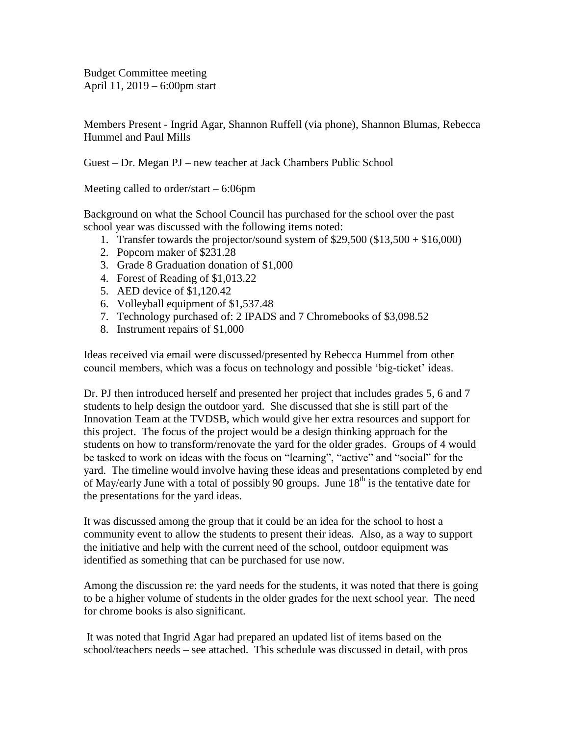Budget Committee meeting April 11, 2019 – 6:00pm start

Members Present - Ingrid Agar, Shannon Ruffell (via phone), Shannon Blumas, Rebecca Hummel and Paul Mills

Guest – Dr. Megan PJ – new teacher at Jack Chambers Public School

Meeting called to order/start – 6:06pm

Background on what the School Council has purchased for the school over the past school year was discussed with the following items noted:

- 1. Transfer towards the projector/sound system of \$29,500 (\$13,500 + \$16,000)
- 2. Popcorn maker of \$231.28
- 3. Grade 8 Graduation donation of \$1,000
- 4. Forest of Reading of \$1,013.22
- 5. AED device of \$1,120.42
- 6. Volleyball equipment of \$1,537.48
- 7. Technology purchased of: 2 IPADS and 7 Chromebooks of \$3,098.52
- 8. Instrument repairs of \$1,000

Ideas received via email were discussed/presented by Rebecca Hummel from other council members, which was a focus on technology and possible 'big-ticket' ideas.

Dr. PJ then introduced herself and presented her project that includes grades 5, 6 and 7 students to help design the outdoor yard. She discussed that she is still part of the Innovation Team at the TVDSB, which would give her extra resources and support for this project. The focus of the project would be a design thinking approach for the students on how to transform/renovate the yard for the older grades. Groups of 4 would be tasked to work on ideas with the focus on "learning", "active" and "social" for the yard. The timeline would involve having these ideas and presentations completed by end of May/early June with a total of possibly 90 groups. June  $18<sup>th</sup>$  is the tentative date for the presentations for the yard ideas.

It was discussed among the group that it could be an idea for the school to host a community event to allow the students to present their ideas. Also, as a way to support the initiative and help with the current need of the school, outdoor equipment was identified as something that can be purchased for use now.

Among the discussion re: the yard needs for the students, it was noted that there is going to be a higher volume of students in the older grades for the next school year. The need for chrome books is also significant.

It was noted that Ingrid Agar had prepared an updated list of items based on the school/teachers needs – see attached. This schedule was discussed in detail, with pros